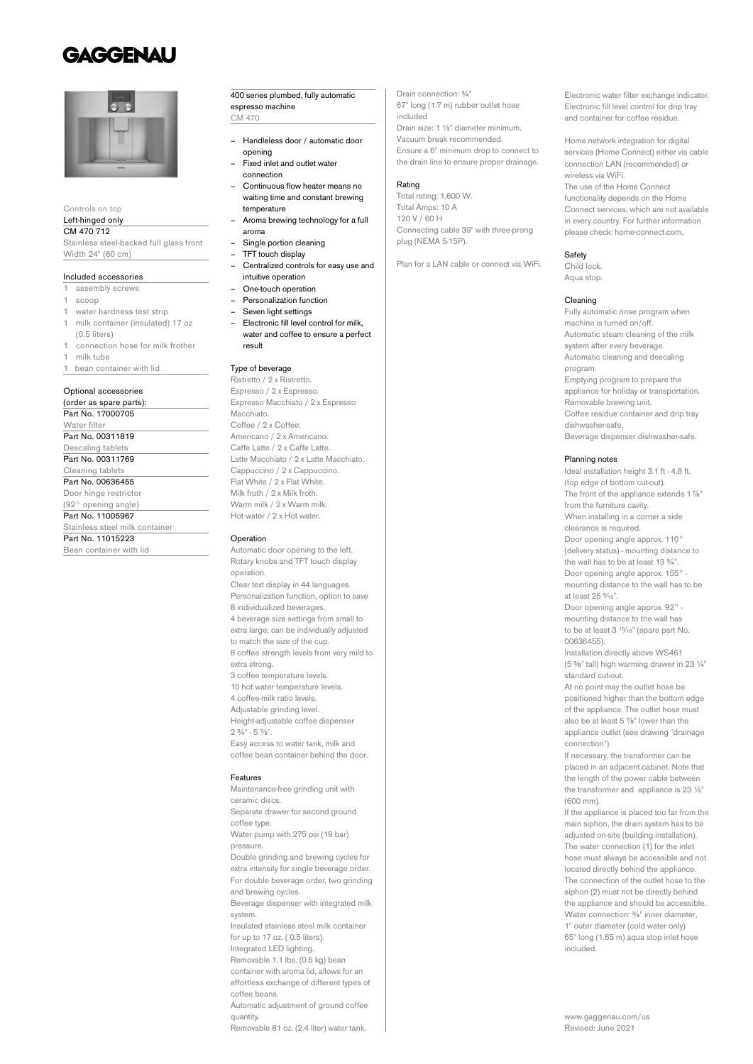## **GAGGENAU**



Controls on top

#### Left-hinged only CM 470 712

Stainless steel-backed full glass front Width 24" (60 cm)

#### Included accessories

- 1 assembly screws
- 1 scoop
- water hardness test strip
- milk container (insulated) 17 oz
- (0.5 liters) 1 connection hose for milk frother
- 1 milk tube
- bean container with lid

## Optional accessories

(order as spare parts): Part No. 17000705 Water filte Part No. 00311819 Descaling tablets Part No. 00311769 Cleaning tablets Part No. 00636455 Door hinge restrictor

(92° opening angle) Part No. 11005967

Stainless steel milk container

Part No. 11015223

Bean container with lid

#### 400 series plumbed, fully automatic espresso machine CM 470

- Handleless door / automatic door opening
- Fixed inlet and outlet water connection
	- Continuous flow heater means no waiting time and constant brewing temperature
	- Aroma brewing technology for a full aroma
- Single portion cleaning
- TFT touch display
- Centralized controls for easy use and intuitive operation
- One-touch operation
- Personalization function
- Seven light settings
- Electronic fill level control for milk, water and coffee to ensure a perfect result

#### Type of beverage

Ristretto / 2 x Ristretto. Espresso / 2 x Espresso. Espresso Macchiato / 2 x Espresso Macchiato. Coffee / 2 x Coffee. Americano / 2 x Americano. Caffe Latte / 2 x Caffe Latte. Latte Macchiato / 2 x Latte Macchiato. Cappuccino / 2 x Cappuccino. Flat White / 2 x Flat White. Milk froth / 2 x Milk froth. Warm milk / 2 x Warm milk. Hot water / 2 x Hot water.

#### Operation

Automatic door opening to the left. Rotary knobs and TFT touch display operation. Clear text display in 44 languages. Personalization function, option to save 8 individualized beverages. 4 beverage size settings from small to extra large; can be individually adjusted to match the size of the cup. 8 coffee strength levels from very mild to extra strong. 3 coffee temperature levels. 10 hot water temperature levels. 4 coffee-milk ratio levels. Adjustable grinding level. Height-adjustable coffee dispenser  $2.3/4" - 5.7/4"$ Easy access to water tank, milk and coffee bean container behind the door.

#### Features

Maintenance-free grinding unit with ceramic discs. Separate drawer for second ground coffee type. Water pump with 275 psi (19 bar) pressure. Double grinding and brewing cycles for extra intensity for single beverage order. For double beverage order, two grinding and brewing cycles. Beverage dispenser with integrated milk system. Insulated stainless steel milk container for up to 17 oz. ( 0.5 liters). Integrated LED lighting. Removable 1.1 lbs. (0.5 kg) bean container with aroma lid, allows for an effortless exchange of different types of coffee beans. Automatic adjustment of ground coffee quantity. Removable 81 oz. (2.4 liter) water tank.

Drain connection: ¾" 67" long (1.7 m) rubber outlet hose included Drain size: 1 ½" diameter minimum. Vacuum break recommended. Ensure a 6" minimum drop to connect to the drain line to ensure proper drainage.

## Rating

Total rating: 1,600 W. Total Amps: 10 A 120 V / 60 H Connecting cable 39" with three-prong plug (NEMA 5-15P).

Plan for a LAN cable or connect via WiFi.

Electronic water filter exchange indicator. Electronic fill level control for drip tray and container for coffee residue.

Home network integration for digital services (Home Connect) either via cable connection LAN (recommended) or wireless via WiFi. The use of the Home Connect functionality depends on the Home Connect services, which are not available

in every country. For further information please check: home-connect.com.

## **Safety**

Child lock. Aqua stop.

#### Cleaning

Fully automatic rinse program when machine is turned on/off. Automatic steam cleaning of the milk system after every beverage. Automatic cleaning and descaling program. Emptying program to prepare the appliance for holiday or transportation. Removable brewing unit. Coffee residue container and drip tray dishwasher-safe. Beverage dispenser dishwasher-safe.

### Planning notes

Ideal installation height 3.1 ft - 4.8 ft. (top edge of bottom cut-out). The front of the appliance extends 1%" from the furniture cavity. When installing in a corner a side clearance is required. Door opening angle approx. 110° (delivery status) - mounting distance to the wall has to be at least 13  $\frac{3}{4}$ ". Door opening angle approx. 155° mounting distance to the wall has to be at least 25 %<sup>16</sup> Door opening angle approx. 92° mounting distance to the wall has to be at least 3<sup>15/<sub>16</sub>" (spare part No.</sup> 00636455).

Installation directly above WS461 (5 ⅜" tall) high warming drawer in 23 ¼" standard cut-out.

At no point may the outlet hose be positioned higher than the bottom edge of the appliance. The outlet hose must also be at least 5 ⅞" lower than the appliance outlet (see drawing "drainage connection").

If necessary, the transformer can be placed in an adjacent cabinet. Note that the length of the power cable between the transformer and appliance is 23 ½" (600 mm).

If the appliance is placed too far from the main siphon, the drain system has to be adjusted on-site (building installation). The water connection (1) for the inlet hose must always be accessible and not located directly behind the appliance. The connection of the outlet hose to the siphon (2) must not be directly behind the appliance and should be accessible. Water connection: ¾" inner diameter, 1" outer diameter (cold water only) 65" long (1.65 m) aqua stop inlet hose included.